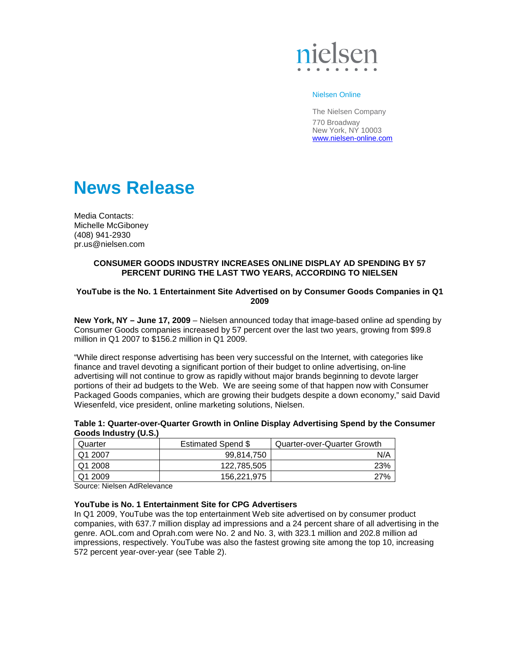

### Nielsen Online

The Nielsen Company 770 Broadway New York, NY 10003 www.nielsen-online.com

# **News Release**

Media Contacts: Michelle McGiboney (408) 941-2930 pr.us@nielsen.com

# **CONSUMER GOODS INDUSTRY INCREASES ONLINE DISPLAY AD SPENDING BY 57 PERCENT DURING THE LAST TWO YEARS, ACCORDING TO NIELSEN**

## **YouTube is the No. 1 Entertainment Site Advertised on by Consumer Goods Companies in Q1 2009**

**New York, NY – June 17, 2009** – Nielsen announced today that image-based online ad spending by Consumer Goods companies increased by 57 percent over the last two years, growing from \$99.8 million in Q1 2007 to \$156.2 million in Q1 2009.

"While direct response advertising has been very successful on the Internet, with categories like finance and travel devoting a significant portion of their budget to online advertising, on-line advertising will not continue to grow as rapidly without major brands beginning to devote larger portions of their ad budgets to the Web. We are seeing some of that happen now with Consumer Packaged Goods companies, which are growing their budgets despite a down economy," said David Wiesenfeld, vice president, online marketing solutions, Nielsen.

| GUUUS IIIUUSLI Y (U.O.) |                    |                             |
|-------------------------|--------------------|-----------------------------|
| Quarter                 | Estimated Spend \$ | Quarter-over-Quarter Growth |
| Q1 2007                 | 99.814.750         | N/A                         |
| Q1 2008                 | 122.785.505        | 23%                         |
| Q1 2009                 | 156,221,975        | 27%                         |

### **Table 1: Quarter-over-Quarter Growth in Online Display Advertising Spend by the Consumer Goods Industry (U.S.)**

Source: Nielsen AdRelevance

## **YouTube is No. 1 Entertainment Site for CPG Advertisers**

In Q1 2009, YouTube was the top entertainment Web site advertised on by consumer product companies, with 637.7 million display ad impressions and a 24 percent share of all advertising in the genre. AOL.com and Oprah.com were No. 2 and No. 3, with 323.1 million and 202.8 million ad impressions, respectively. YouTube was also the fastest growing site among the top 10, increasing 572 percent year-over-year (see Table 2).